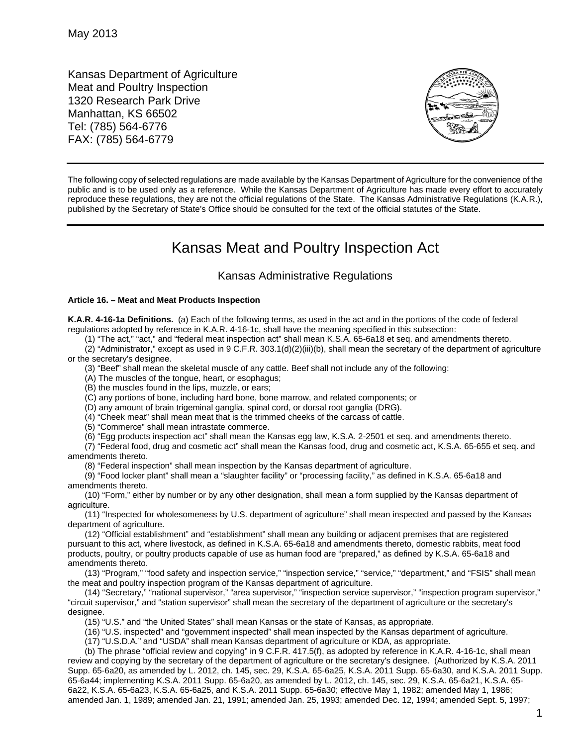Kansas Department of Agriculture Meat and Poultry Inspection 1320 Research Park Drive Manhattan, KS 66502 Tel: (785) 564-6776 FAX: (785) 564-6779



The following copy of selected regulations are made available by the Kansas Department of Agriculture for the convenience of the public and is to be used only as a reference. While the Kansas Department of Agriculture has made every effort to accurately reproduce these regulations, they are not the official regulations of the State. The Kansas Administrative Regulations (K.A.R.), published by the Secretary of State's Office should be consulted for the text of the official statutes of the State.

## Kansas Meat and Poultry Inspection Act

## Kansas Administrative Regulations

## **Article 16. – Meat and Meat Products Inspection**

**K.A.R. 4-16-1a Definitions.** (a) Each of the following terms, as used in the act and in the portions of the code of federal regulations adopted by reference in K.A.R. 4-16-1c, shall have the meaning specified in this subsection:

(1) "The act," "act," and "federal meat inspection act" shall mean K.S.A. 65-6a18 et seq. and amendments thereto.

(2) "Administrator," except as used in 9 C.F.R. 303.1(d)(2)(iii)(b), shall mean the secretary of the department of agriculture or the secretary's designee.

(3) "Beef" shall mean the skeletal muscle of any cattle. Beef shall not include any of the following:

(A) The muscles of the tongue, heart, or esophagus;

(B) the muscles found in the lips, muzzle, or ears;

(C) any portions of bone, including hard bone, bone marrow, and related components; or

(D) any amount of brain trigeminal ganglia, spinal cord, or dorsal root ganglia (DRG).

(4) "Cheek meat" shall mean meat that is the trimmed cheeks of the carcass of cattle.

(5) "Commerce" shall mean intrastate commerce.

(6) "Egg products inspection act" shall mean the Kansas egg law, K.S.A. 2-2501 et seq. and amendments thereto.

(7) "Federal food, drug and cosmetic act" shall mean the Kansas food, drug and cosmetic act, K.S.A. 65-655 et seq. and amendments thereto.

(8) "Federal inspection" shall mean inspection by the Kansas department of agriculture.

(9) "Food locker plant" shall mean a "slaughter facility" or "processing facility," as defined in K.S.A. 65-6a18 and amendments thereto.

(10) "Form," either by number or by any other designation, shall mean a form supplied by the Kansas department of agriculture.

(11) "Inspected for wholesomeness by U.S. department of agriculture" shall mean inspected and passed by the Kansas department of agriculture.

(12) "Official establishment" and "establishment" shall mean any building or adjacent premises that are registered pursuant to this act, where livestock, as defined in K.S.A. 65-6a18 and amendments thereto, domestic rabbits, meat food products, poultry, or poultry products capable of use as human food are "prepared," as defined by K.S.A. 65-6a18 and amendments thereto.

(13) "Program," "food safety and inspection service," "inspection service," "service," "department," and "FSIS" shall mean the meat and poultry inspection program of the Kansas department of agriculture.

(14) "Secretary," "national supervisor," "area supervisor," "inspection service supervisor," "inspection program supervisor," "circuit supervisor," and "station supervisor" shall mean the secretary of the department of agriculture or the secretary's designee.

(15) "U.S." and "the United States" shall mean Kansas or the state of Kansas, as appropriate.

(16) "U.S. inspected" and "government inspected" shall mean inspected by the Kansas department of agriculture.

(17) "U.S.D.A." and "USDA" shall mean Kansas department of agriculture or KDA, as appropriate.

(b) The phrase "official review and copying" in 9 C.F.R. 417.5(f), as adopted by reference in K.A.R. 4-16-1c, shall mean review and copying by the secretary of the department of agriculture or the secretary's designee. (Authorized by K.S.A. 2011 Supp. 65-6a20, as amended by L. 2012, ch. 145, sec. 29, K.S.A. 65-6a25, K.S.A. 2011 Supp. 65-6a30, and K.S.A. 2011 Supp. 65-6a44; implementing K.S.A. 2011 Supp. 65-6a20, as amended by L. 2012, ch. 145, sec. 29, K.S.A. 65-6a21, K.S.A. 65- 6a22, K.S.A. 65-6a23, K.S.A. 65-6a25, and K.S.A. 2011 Supp. 65-6a30; effective May 1, 1982; amended May 1, 1986; amended Jan. 1, 1989; amended Jan. 21, 1991; amended Jan. 25, 1993; amended Dec. 12, 1994; amended Sept. 5, 1997;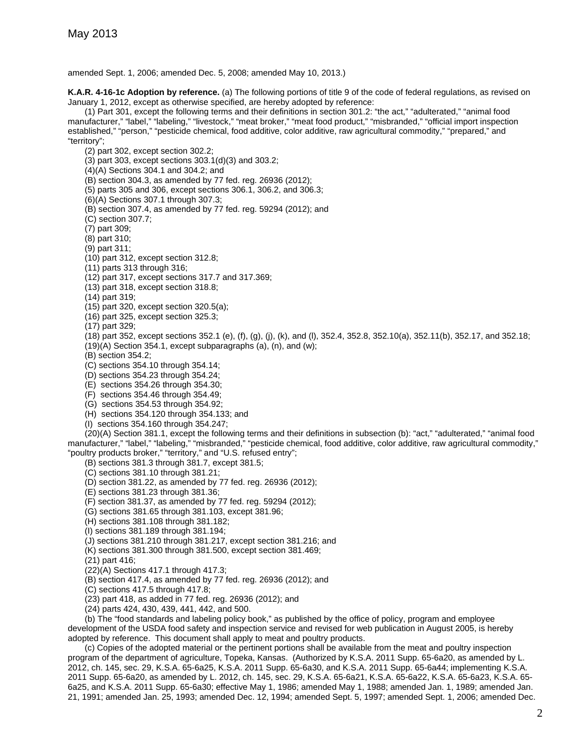amended Sept. 1, 2006; amended Dec. 5, 2008; amended May 10, 2013.)

**K.A.R. 4-16-1c Adoption by reference.** (a) The following portions of title 9 of the code of federal regulations, as revised on January 1, 2012, except as otherwise specified, are hereby adopted by reference:

(1) Part 301, except the following terms and their definitions in section 301.2: "the act," "adulterated," "animal food manufacturer," "label," "labeling," "livestock," "meat broker," "meat food product," "misbranded," "official import inspection established," "person," "pesticide chemical, food additive, color additive, raw agricultural commodity," "prepared," and "territory";

(2) part 302, except section 302.2;

(3) part 303, except sections 303.1(d)(3) and 303.2;

(4)(A) Sections 304.1 and 304.2; and

(B) section 304.3, as amended by 77 fed. reg. 26936 (2012);

(5) parts 305 and 306, except sections 306.1, 306.2, and 306.3;

(6)(A) Sections 307.1 through 307.3;

(B) section 307.4, as amended by 77 fed. reg. 59294 (2012); and

(C) section 307.7;

(7) part 309;

(8) part 310;

(9) part 311;

(10) part 312, except section 312.8;

(11) parts 313 through 316;

(12) part 317, except sections 317.7 and 317.369;

(13) part 318, except section 318.8;

(14) part 319;

(15) part 320, except section 320.5(a);

(16) part 325, except section 325.3;

(17) part 329;

(18) part 352, except sections 352.1 (e), (f), (g), (j), (k), and (l), 352.4, 352.8, 352.10(a), 352.11(b), 352.17, and 352.18; (19)(A) Section 354.1, except subparagraphs (a), (n), and (w);

(B) section 354.2;

(C) sections 354.10 through 354.14;

(D) sections 354.23 through 354.24;

(E) sections 354.26 through 354.30;

(F) sections 354.46 through 354.49;

(G) sections 354.53 through 354.92;

(H) sections 354.120 through 354.133; and

(I) sections 354.160 through 354.247;

(20)(A) Section 381.1, except the following terms and their definitions in subsection (b): "act," "adulterated," "animal food manufacturer," "label," "labeling," "misbranded," "pesticide chemical, food additive, color additive, raw agricultural commodity," "poultry products broker," "territory," and "U.S. refused entry";

(B) sections 381.3 through 381.7, except 381.5;

(C) sections 381.10 through 381.21;

(D) section 381.22, as amended by 77 fed. reg. 26936 (2012);

(E) sections 381.23 through 381.36;

(F) section 381.37, as amended by 77 fed. reg. 59294 (2012);

(G) sections 381.65 through 381.103, except 381.96;

(H) sections 381.108 through 381.182;

(I) sections 381.189 through 381.194;

(J) sections 381.210 through 381.217, except section 381.216; and

(K) sections 381.300 through 381.500, except section 381.469;

(21) part 416;

(22)(A) Sections 417.1 through 417.3;

(B) section 417.4, as amended by 77 fed. reg. 26936 (2012); and

(C) sections 417.5 through 417.8;

(23) part 418, as added in 77 fed. reg. 26936 (2012); and

(24) parts 424, 430, 439, 441, 442, and 500.

(b) The "food standards and labeling policy book," as published by the office of policy, program and employee development of the USDA food safety and inspection service and revised for web publication in August 2005, is hereby adopted by reference. This document shall apply to meat and poultry products.

(c) Copies of the adopted material or the pertinent portions shall be available from the meat and poultry inspection program of the department of agriculture, Topeka, Kansas. (Authorized by K.S.A. 2011 Supp. 65-6a20, as amended by L. 2012, ch. 145, sec. 29, K.S.A. 65-6a25, K.S.A. 2011 Supp. 65-6a30, and K.S.A. 2011 Supp. 65-6a44; implementing K.S.A. 2011 Supp. 65-6a20, as amended by L. 2012, ch. 145, sec. 29, K.S.A. 65-6a21, K.S.A. 65-6a22, K.S.A. 65-6a23, K.S.A. 65- 6a25, and K.S.A. 2011 Supp. 65-6a30; effective May 1, 1986; amended May 1, 1988; amended Jan. 1, 1989; amended Jan. 21, 1991; amended Jan. 25, 1993; amended Dec. 12, 1994; amended Sept. 5, 1997; amended Sept. 1, 2006; amended Dec.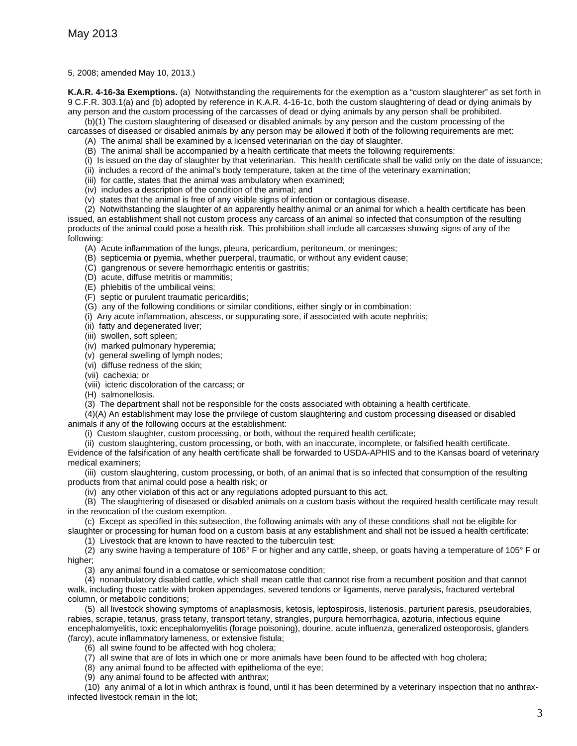5, 2008; amended May 10, 2013.)

**K.A.R. 4-16-3a Exemptions.** (a) Notwithstanding the requirements for the exemption as a "custom slaughterer" as set forth in 9 C.F.R. 303.1(a) and (b) adopted by reference in K.A.R. 4-16-1c, both the custom slaughtering of dead or dying animals by any person and the custom processing of the carcasses of dead or dying animals by any person shall be prohibited.

(b)(1) The custom slaughtering of diseased or disabled animals by any person and the custom processing of the

carcasses of diseased or disabled animals by any person may be allowed if both of the following requirements are met:

(A) The animal shall be examined by a licensed veterinarian on the day of slaughter.

- (B) The animal shall be accompanied by a health certificate that meets the following requirements:
- (i) Is issued on the day of slaughter by that veterinarian. This health certificate shall be valid only on the date of issuance;
- (ii) includes a record of the animal's body temperature, taken at the time of the veterinary examination;
- (iii) for cattle, states that the animal was ambulatory when examined;
- (iv) includes a description of the condition of the animal; and
- (v) states that the animal is free of any visible signs of infection or contagious disease.

(2) Notwithstanding the slaughter of an apparently healthy animal or an animal for which a health certificate has been issued, an establishment shall not custom process any carcass of an animal so infected that consumption of the resulting products of the animal could pose a health risk. This prohibition shall include all carcasses showing signs of any of the following:

- (A) Acute inflammation of the lungs, pleura, pericardium, peritoneum, or meninges;
- (B) septicemia or pyemia, whether puerperal, traumatic, or without any evident cause;
- (C) gangrenous or severe hemorrhagic enteritis or gastritis;
- (D) acute, diffuse metritis or mammitis;
- (E) phlebitis of the umbilical veins;
- (F) septic or purulent traumatic pericarditis;
- (G) any of the following conditions or similar conditions, either singly or in combination:
- (i) Any acute inflammation, abscess, or suppurating sore, if associated with acute nephritis;
- (ii) fatty and degenerated liver;
- (iii) swollen, soft spleen;
- (iv) marked pulmonary hyperemia;
- (v) general swelling of lymph nodes;
- (vi) diffuse redness of the skin;
- (vii) cachexia; or
- (viii) icteric discoloration of the carcass; or
- (H) salmonellosis.
- (3) The department shall not be responsible for the costs associated with obtaining a health certificate.

(4)(A) An establishment may lose the privilege of custom slaughtering and custom processing diseased or disabled animals if any of the following occurs at the establishment:

(i) Custom slaughter, custom processing, or both, without the required health certificate;

(ii) custom slaughtering, custom processing, or both, with an inaccurate, incomplete, or falsified health certificate. Evidence of the falsification of any health certificate shall be forwarded to USDA-APHIS and to the Kansas board of veterinary medical examiners;

(iii) custom slaughtering, custom processing, or both, of an animal that is so infected that consumption of the resulting products from that animal could pose a health risk; or

(iv) any other violation of this act or any regulations adopted pursuant to this act.

(B) The slaughtering of diseased or disabled animals on a custom basis without the required health certificate may result in the revocation of the custom exemption.

(c) Except as specified in this subsection, the following animals with any of these conditions shall not be eligible for slaughter or processing for human food on a custom basis at any establishment and shall not be issued a health certificate:

(1) Livestock that are known to have reacted to the tuberculin test;

(2) any swine having a temperature of 106° F or higher and any cattle, sheep, or goats having a temperature of 105° F or higher:

(3) any animal found in a comatose or semicomatose condition;

(4) nonambulatory disabled cattle, which shall mean cattle that cannot rise from a recumbent position and that cannot walk, including those cattle with broken appendages, severed tendons or ligaments, nerve paralysis, fractured vertebral column, or metabolic conditions;

(5) all livestock showing symptoms of anaplasmosis, ketosis, leptospirosis, listeriosis, parturient paresis, pseudorabies, rabies, scrapie, tetanus, grass tetany, transport tetany, strangles, purpura hemorrhagica, azoturia, infectious equine encephalomyelitis, toxic encephalomyelitis (forage poisoning), dourine, acute influenza, generalized osteoporosis, glanders (farcy), acute inflammatory lameness, or extensive fistula;

(6) all swine found to be affected with hog cholera;

(7) all swine that are of lots in which one or more animals have been found to be affected with hog cholera;

(8) any animal found to be affected with epithelioma of the eye;

(9) any animal found to be affected with anthrax;

(10) any animal of a lot in which anthrax is found, until it has been determined by a veterinary inspection that no anthraxinfected livestock remain in the lot;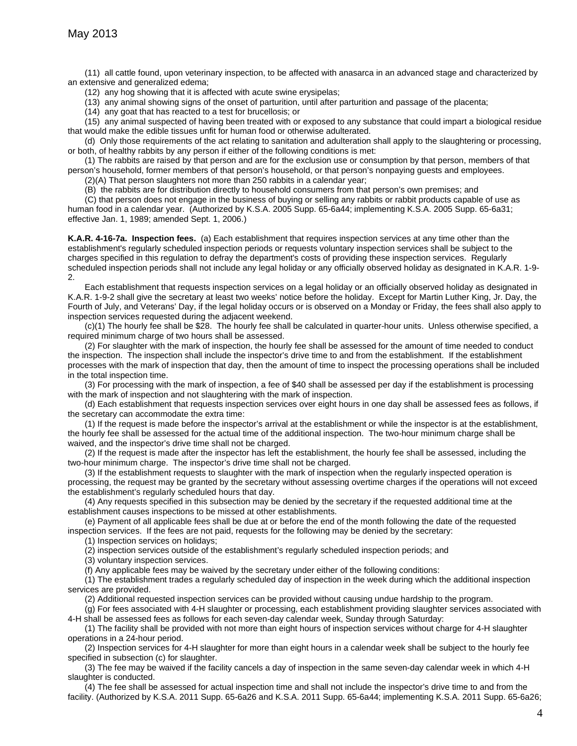(11) all cattle found, upon veterinary inspection, to be affected with anasarca in an advanced stage and characterized by an extensive and generalized edema;

(12) any hog showing that it is affected with acute swine erysipelas;

(13) any animal showing signs of the onset of parturition, until after parturition and passage of the placenta;

(14) any goat that has reacted to a test for brucellosis; or

(15) any animal suspected of having been treated with or exposed to any substance that could impart a biological residue that would make the edible tissues unfit for human food or otherwise adulterated.

(d) Only those requirements of the act relating to sanitation and adulteration shall apply to the slaughtering or processing, or both, of healthy rabbits by any person if either of the following conditions is met:

(1) The rabbits are raised by that person and are for the exclusion use or consumption by that person, members of that person's household, former members of that person's household, or that person's nonpaying guests and employees.

(2)(A) That person slaughters not more than 250 rabbits in a calendar year;

(B) the rabbits are for distribution directly to household consumers from that person's own premises; and

(C) that person does not engage in the business of buying or selling any rabbits or rabbit products capable of use as human food in a calendar year. (Authorized by K.S.A. 2005 Supp. 65-6a44; implementing K.S.A. 2005 Supp. 65-6a31; effective Jan. 1, 1989; amended Sept. 1, 2006.)

**K.A.R. 4-16-7a. Inspection fees.** (a) Each establishment that requires inspection services at any time other than the establishment's regularly scheduled inspection periods or requests voluntary inspection services shall be subject to the charges specified in this regulation to defray the department's costs of providing these inspection services. Regularly scheduled inspection periods shall not include any legal holiday or any officially observed holiday as designated in K.A.R. 1-9- 2.

Each establishment that requests inspection services on a legal holiday or an officially observed holiday as designated in K.A.R. 1-9-2 shall give the secretary at least two weeks' notice before the holiday. Except for Martin Luther King, Jr. Day, the Fourth of July, and Veterans' Day, if the legal holiday occurs or is observed on a Monday or Friday, the fees shall also apply to inspection services requested during the adjacent weekend.

(c)(1) The hourly fee shall be \$28. The hourly fee shall be calculated in quarter-hour units. Unless otherwise specified, a required minimum charge of two hours shall be assessed.

(2) For slaughter with the mark of inspection, the hourly fee shall be assessed for the amount of time needed to conduct the inspection. The inspection shall include the inspector's drive time to and from the establishment. If the establishment processes with the mark of inspection that day, then the amount of time to inspect the processing operations shall be included in the total inspection time.

(3) For processing with the mark of inspection, a fee of \$40 shall be assessed per day if the establishment is processing with the mark of inspection and not slaughtering with the mark of inspection.

(d) Each establishment that requests inspection services over eight hours in one day shall be assessed fees as follows, if the secretary can accommodate the extra time:

(1) If the request is made before the inspector's arrival at the establishment or while the inspector is at the establishment, the hourly fee shall be assessed for the actual time of the additional inspection. The two-hour minimum charge shall be waived, and the inspector's drive time shall not be charged.

(2) If the request is made after the inspector has left the establishment, the hourly fee shall be assessed, including the two-hour minimum charge. The inspector's drive time shall not be charged.

(3) If the establishment requests to slaughter with the mark of inspection when the regularly inspected operation is processing, the request may be granted by the secretary without assessing overtime charges if the operations will not exceed the establishment's regularly scheduled hours that day.

(4) Any requests specified in this subsection may be denied by the secretary if the requested additional time at the establishment causes inspections to be missed at other establishments.

(e) Payment of all applicable fees shall be due at or before the end of the month following the date of the requested inspection services. If the fees are not paid, requests for the following may be denied by the secretary:

(1) Inspection services on holidays;

(2) inspection services outside of the establishment's regularly scheduled inspection periods; and

(3) voluntary inspection services.

(f) Any applicable fees may be waived by the secretary under either of the following conditions:

(1) The establishment trades a regularly scheduled day of inspection in the week during which the additional inspection services are provided.

(2) Additional requested inspection services can be provided without causing undue hardship to the program.

(g) For fees associated with 4-H slaughter or processing, each establishment providing slaughter services associated with 4-H shall be assessed fees as follows for each seven-day calendar week, Sunday through Saturday:

(1) The facility shall be provided with not more than eight hours of inspection services without charge for 4-H slaughter operations in a 24-hour period.

(2) Inspection services for 4-H slaughter for more than eight hours in a calendar week shall be subject to the hourly fee specified in subsection (c) for slaughter.

(3) The fee may be waived if the facility cancels a day of inspection in the same seven-day calendar week in which 4-H slaughter is conducted.

(4) The fee shall be assessed for actual inspection time and shall not include the inspector's drive time to and from the facility. (Authorized by K.S.A. 2011 Supp. 65-6a26 and K.S.A. 2011 Supp. 65-6a44; implementing K.S.A. 2011 Supp. 65-6a26;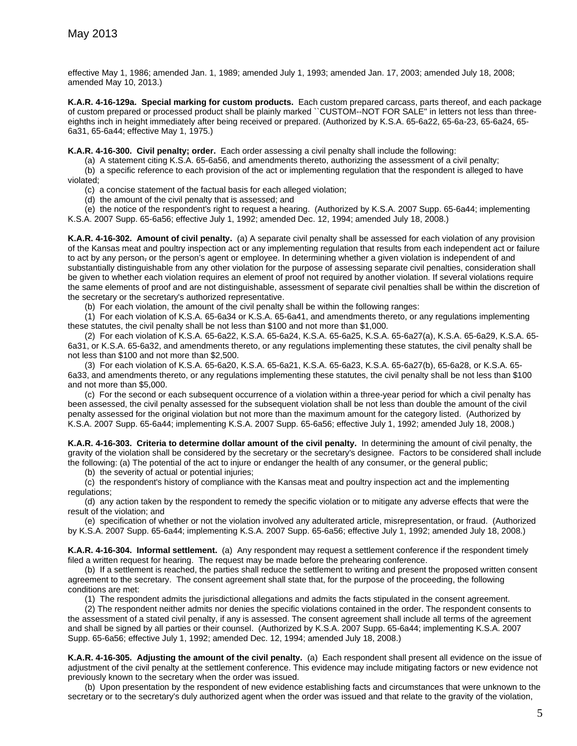effective May 1, 1986; amended Jan. 1, 1989; amended July 1, 1993; amended Jan. 17, 2003; amended July 18, 2008; amended May 10, 2013.)

**K.A.R. 4-16-129a. Special marking for custom products.** Each custom prepared carcass, parts thereof, and each package of custom prepared or processed product shall be plainly marked ``CUSTOM--NOT FOR SALE'' in letters not less than threeeighths inch in height immediately after being received or prepared. (Authorized by K.S.A. 65-6a22, 65-6a-23, 65-6a24, 65- 6a31, 65-6a44; effective May 1, 1975.)

**K.A.R. 4-16-300. Civil penalty; order.** Each order assessing a civil penalty shall include the following:

(a) A statement citing K.S.A. 65-6a56, and amendments thereto, authorizing the assessment of a civil penalty;

(b) a specific reference to each provision of the act or implementing regulation that the respondent is alleged to have violated;

(c) a concise statement of the factual basis for each alleged violation;

(d) the amount of the civil penalty that is assessed; and

(e) the notice of the respondent's right to request a hearing. (Authorized by K.S.A. 2007 Supp. 65-6a44; implementing K.S.A. 2007 Supp. 65-6a56; effective July 1, 1992; amended Dec. 12, 1994; amended July 18, 2008.)

**K.A.R. 4-16-302. Amount of civil penalty.** (a) A separate civil penalty shall be assessed for each violation of any provision of the Kansas meat and poultry inspection act or any implementing regulation that results from each independent act or failure to act by any person<sub>5</sub> or the person's agent or employee. In determining whether a given violation is independent of and substantially distinguishable from any other violation for the purpose of assessing separate civil penalties, consideration shall be given to whether each violation requires an element of proof not required by another violation. If several violations require the same elements of proof and are not distinguishable, assessment of separate civil penalties shall be within the discretion of the secretary or the secretary's authorized representative.

(b) For each violation, the amount of the civil penalty shall be within the following ranges:

(1) For each violation of K.S.A. 65-6a34 or K.S.A. 65-6a41, and amendments thereto, or any regulations implementing these statutes, the civil penalty shall be not less than \$100 and not more than \$1,000.

(2) For each violation of K.S.A. 65-6a22, K.S.A. 65-6a24, K.S.A. 65-6a25, K.S.A. 65-6a27(a), K.S.A. 65-6a29, K.S.A. 65- 6a31, or K.S.A. 65-6a32, and amendments thereto, or any regulations implementing these statutes, the civil penalty shall be not less than \$100 and not more than \$2,500.

(3) For each violation of K.S.A. 65-6a20, K.S.A. 65-6a21, K.S.A. 65-6a23, K.S.A. 65-6a27(b), 65-6a28, or K.S.A. 65- 6a33, and amendments thereto, or any regulations implementing these statutes, the civil penalty shall be not less than \$100 and not more than \$5,000.

(c) For the second or each subsequent occurrence of a violation within a three-year period for which a civil penalty has been assessed, the civil penalty assessed for the subsequent violation shall be not less than double the amount of the civil penalty assessed for the original violation but not more than the maximum amount for the category listed. (Authorized by K.S.A. 2007 Supp. 65-6a44; implementing K.S.A. 2007 Supp. 65-6a56; effective July 1, 1992; amended July 18, 2008.)

**K.A.R. 4-16-303. Criteria to determine dollar amount of the civil penalty.** In determining the amount of civil penalty, the gravity of the violation shall be considered by the secretary or the secretary's designee. Factors to be considered shall include the following: (a) The potential of the act to injure or endanger the health of any consumer, or the general public;

(b) the severity of actual or potential injuries;

(c) the respondent's history of compliance with the Kansas meat and poultry inspection act and the implementing regulations;

(d) any action taken by the respondent to remedy the specific violation or to mitigate any adverse effects that were the result of the violation; and

(e) specification of whether or not the violation involved any adulterated article, misrepresentation, or fraud. (Authorized by K.S.A. 2007 Supp. 65-6a44; implementing K.S.A. 2007 Supp. 65-6a56; effective July 1, 1992; amended July 18, 2008.)

**K.A.R. 4-16-304. Informal settlement.** (a) Any respondent may request a settlement conference if the respondent timely filed a written request for hearing. The request may be made before the prehearing conference.

(b) If a settlement is reached, the parties shall reduce the settlement to writing and present the proposed written consent agreement to the secretary. The consent agreement shall state that, for the purpose of the proceeding, the following conditions are met:

(1) The respondent admits the jurisdictional allegations and admits the facts stipulated in the consent agreement.

(2) The respondent neither admits nor denies the specific violations contained in the order. The respondent consents to the assessment of a stated civil penalty, if any is assessed. The consent agreement shall include all terms of the agreement and shall be signed by all parties or their counsel. (Authorized by K.S.A. 2007 Supp. 65-6a44; implementing K.S.A. 2007 Supp. 65-6a56; effective July 1, 1992; amended Dec. 12, 1994; amended July 18, 2008.)

**K.A.R. 4-16-305. Adjusting the amount of the civil penalty.** (a) Each respondent shall present all evidence on the issue of adjustment of the civil penalty at the settlement conference. This evidence may include mitigating factors or new evidence not previously known to the secretary when the order was issued.

(b) Upon presentation by the respondent of new evidence establishing facts and circumstances that were unknown to the secretary or to the secretary's duly authorized agent when the order was issued and that relate to the gravity of the violation,